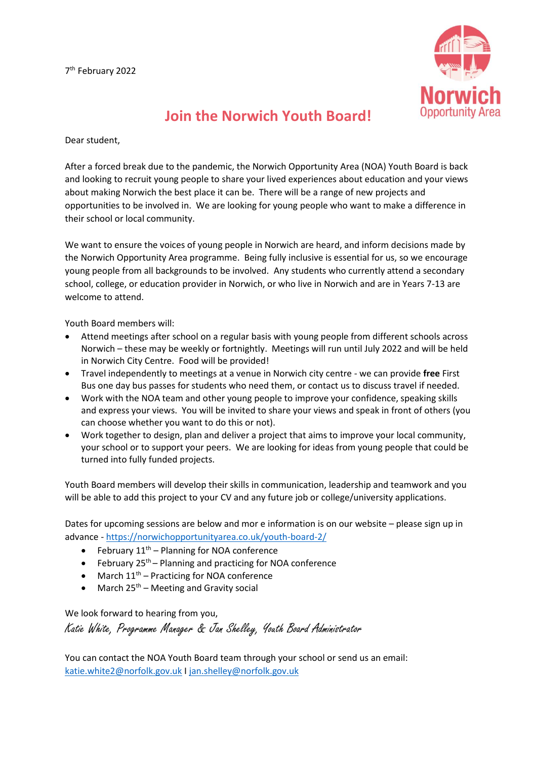

## **Join the Norwich Youth Board!**

Dear student,

After a forced break due to the pandemic, the Norwich Opportunity Area (NOA) Youth Board is back and looking to recruit young people to share your lived experiences about education and your views about making Norwich the best place it can be. There will be a range of new projects and opportunities to be involved in. We are looking for young people who want to make a difference in their school or local community.

We want to ensure the voices of young people in Norwich are heard, and inform decisions made by the Norwich Opportunity Area programme. Being fully inclusive is essential for us, so we encourage young people from all backgrounds to be involved. Any students who currently attend a secondary school, college, or education provider in Norwich, or who live in Norwich and are in Years 7-13 are welcome to attend.

Youth Board members will:

- Attend meetings after school on a regular basis with young people from different schools across Norwich – these may be weekly or fortnightly. Meetings will run until July 2022 and will be held in Norwich City Centre. Food will be provided!
- Travel independently to meetings at a venue in Norwich city centre we can provide **free** First Bus one day bus passes for students who need them, or contact us to discuss travel if needed.
- Work with the NOA team and other young people to improve your confidence, speaking skills and express your views. You will be invited to share your views and speak in front of others (you can choose whether you want to do this or not).
- Work together to design, plan and deliver a project that aims to improve your local community, your school or to support your peers. We are looking for ideas from young people that could be turned into fully funded projects.

Youth Board members will develop their skills in communication, leadership and teamwork and you will be able to add this project to your CV and any future job or college/university applications.

Dates for upcoming sessions are below and mor e information is on our website – please sign up in advance - <https://norwichopportunityarea.co.uk/youth-board-2/>

- February  $11<sup>th</sup>$  Planning for NOA conference
- February  $25<sup>th</sup>$  Planning and practicing for NOA conference
- March  $11<sup>th</sup>$  Practicing for NOA conference
- March  $25<sup>th</sup>$  Meeting and Gravity social

We look forward to hearing from you,

Katie White, Programme Manager & Jan Shelley, Youth Board Administrator

You can contact the NOA Youth Board team through your school or send us an email: [katie.white2@norfolk.gov.uk](mailto:katie.white2@norfolk.gov.uk) I [jan.shelley@norfolk.gov.uk](mailto:jan.shelley@norfolk.gov.uk)